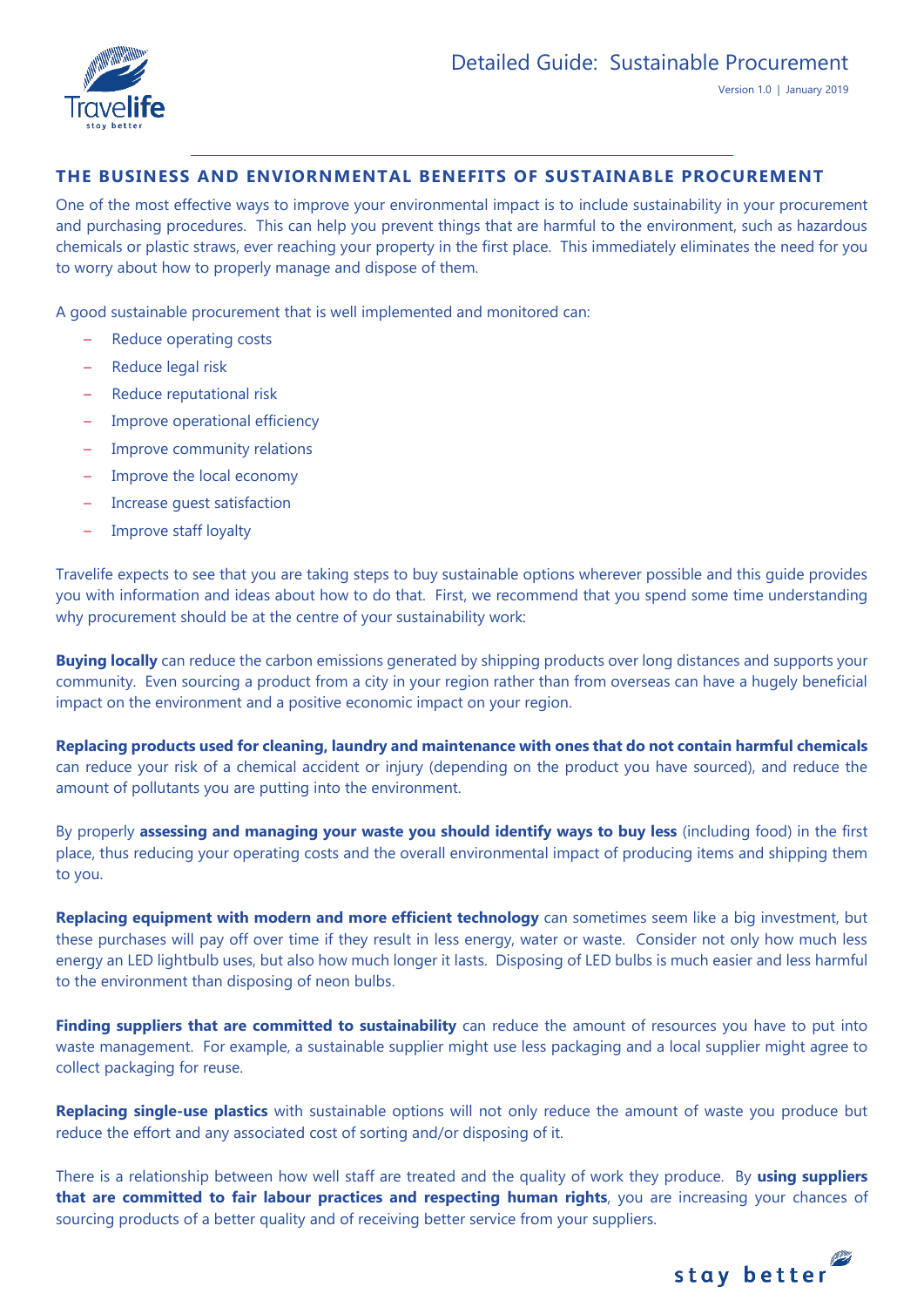

# **THE BUSINESS AND ENVIORNMENTAL BENEFITS OF SUSTAINABLE PROCUREMENT**

One of the most effective ways to improve your environmental impact is to include sustainability in your procurement and purchasing procedures. This can help you prevent things that are harmful to the environment, such as hazardous chemicals or plastic straws, ever reaching your property in the first place. This immediately eliminates the need for you to worry about how to properly manage and dispose of them.

A good sustainable procurement that is well implemented and monitored can:

- Reduce operating costs
- Reduce legal risk
- Reduce reputational risk
- Improve operational efficiency
- Improve community relations
- Improve the local economy
- Increase guest satisfaction
- Improve staff loyalty

Travelife expects to see that you are taking steps to buy sustainable options wherever possible and this guide provides you with information and ideas about how to do that. First, we recommend that you spend some time understanding why procurement should be at the centre of your sustainability work:

**Buying locally** can reduce the carbon emissions generated by shipping products over long distances and supports your community. Even sourcing a product from a city in your region rather than from overseas can have a hugely beneficial impact on the environment and a positive economic impact on your region.

**Replacing products used for cleaning, laundry and maintenance with ones that do not contain harmful chemicals** can reduce your risk of a chemical accident or injury (depending on the product you have sourced), and reduce the amount of pollutants you are putting into the environment.

By properly **assessing and managing your waste you should identify ways to buy less** (including food) in the first place, thus reducing your operating costs and the overall environmental impact of producing items and shipping them to you.

**Replacing equipment with modern and more efficient technology** can sometimes seem like a big investment, but these purchases will pay off over time if they result in less energy, water or waste. Consider not only how much less energy an LED lightbulb uses, but also how much longer it lasts. Disposing of LED bulbs is much easier and less harmful to the environment than disposing of neon bulbs.

**Finding suppliers that are committed to sustainability** can reduce the amount of resources you have to put into waste management. For example, a sustainable supplier might use less packaging and a local supplier might agree to collect packaging for reuse.

**Replacing single-use plastics** with sustainable options will not only reduce the amount of waste you produce but reduce the effort and any associated cost of sorting and/or disposing of it.

There is a relationship between how well staff are treated and the quality of work they produce. By **using suppliers that are committed to fair labour practices and respecting human rights**, you are increasing your chances of sourcing products of a better quality and of receiving better service from your suppliers.

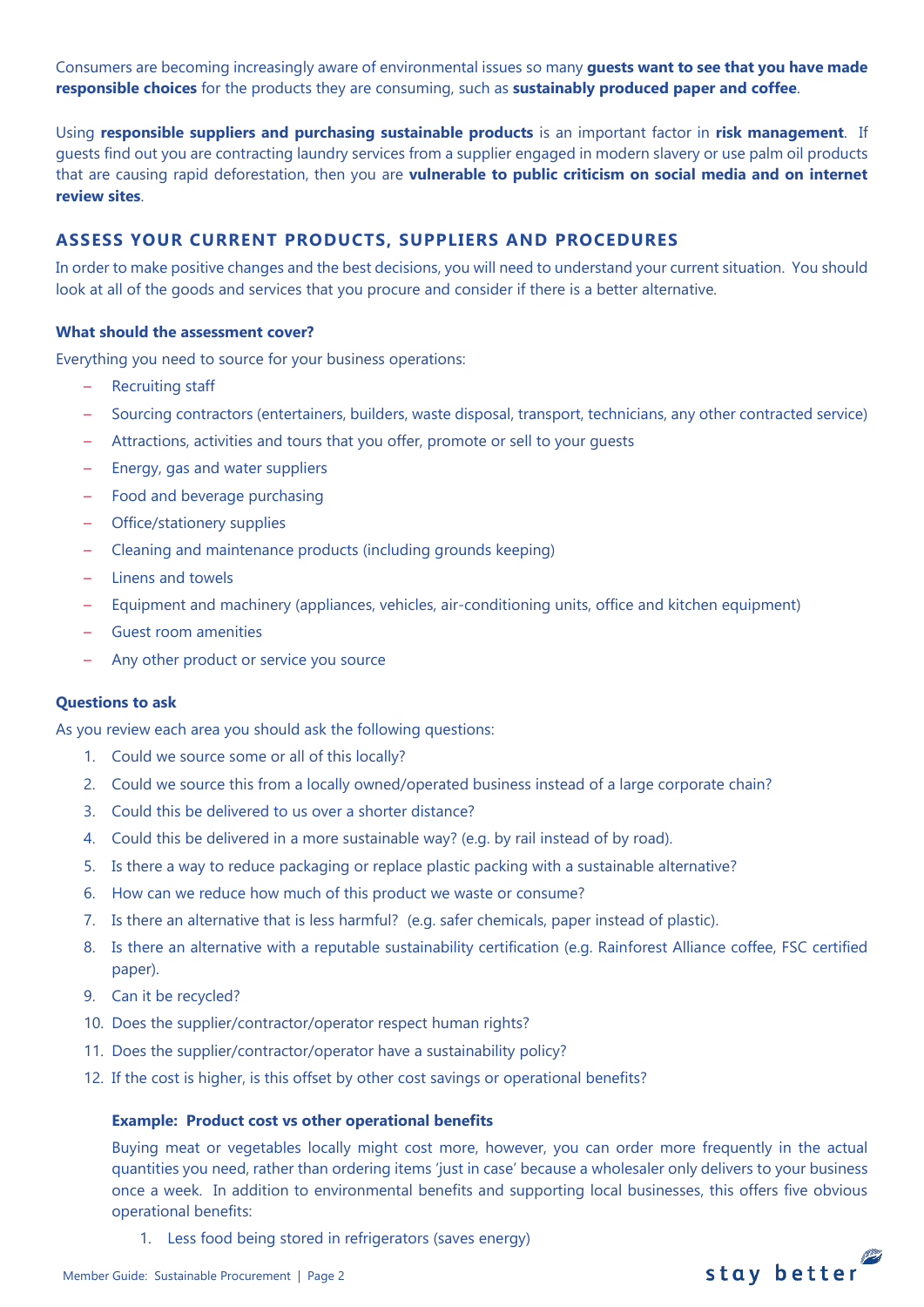Consumers are becoming increasingly aware of environmental issues so many **guests want to see that you have made responsible choices** for the products they are consuming, such as **sustainably produced paper and coffee**.

Using **responsible suppliers and purchasing sustainable products** is an important factor in **risk management**. If guests find out you are contracting laundry services from a supplier engaged in modern slavery or use palm oil products that are causing rapid deforestation, then you are **vulnerable to public criticism on social media and on internet review sites**.

# **ASSESS YOUR CURRENT PRODUCTS, SUPPLIERS AND PROCEDURES**

In order to make positive changes and the best decisions, you will need to understand your current situation. You should look at all of the goods and services that you procure and consider if there is a better alternative.

#### **What should the assessment cover?**

Everything you need to source for your business operations:

- Recruiting staff
- Sourcing contractors (entertainers, builders, waste disposal, transport, technicians, any other contracted service)
- Attractions, activities and tours that you offer, promote or sell to your guests
- Energy, gas and water suppliers
- Food and beverage purchasing
- Office/stationery supplies
- Cleaning and maintenance products (including grounds keeping)
- Linens and towels
- Equipment and machinery (appliances, vehicles, air-conditioning units, office and kitchen equipment)
- Guest room amenities
- Any other product or service you source

## **Questions to ask**

As you review each area you should ask the following questions:

- 1. Could we source some or all of this locally?
- 2. Could we source this from a locally owned/operated business instead of a large corporate chain?
- 3. Could this be delivered to us over a shorter distance?
- 4. Could this be delivered in a more sustainable way? (e.g. by rail instead of by road).
- 5. Is there a way to reduce packaging or replace plastic packing with a sustainable alternative?
- 6. How can we reduce how much of this product we waste or consume?
- 7. Is there an alternative that is less harmful? (e.g. safer chemicals, paper instead of plastic).
- 8. Is there an alternative with a reputable sustainability certification (e.g. Rainforest Alliance coffee, FSC certified paper).
- 9. Can it be recycled?
- 10. Does the supplier/contractor/operator respect human rights?
- 11. Does the supplier/contractor/operator have a sustainability policy?
- 12. If the cost is higher, is this offset by other cost savings or operational benefits?

#### **Example: Product cost vs other operational benefits**

Buying meat or vegetables locally might cost more, however, you can order more frequently in the actual quantities you need, rather than ordering items 'just in case' because a wholesaler only delivers to your business once a week. In addition to environmental benefits and supporting local businesses, this offers five obvious operational benefits:

1. Less food being stored in refrigerators (saves energy)

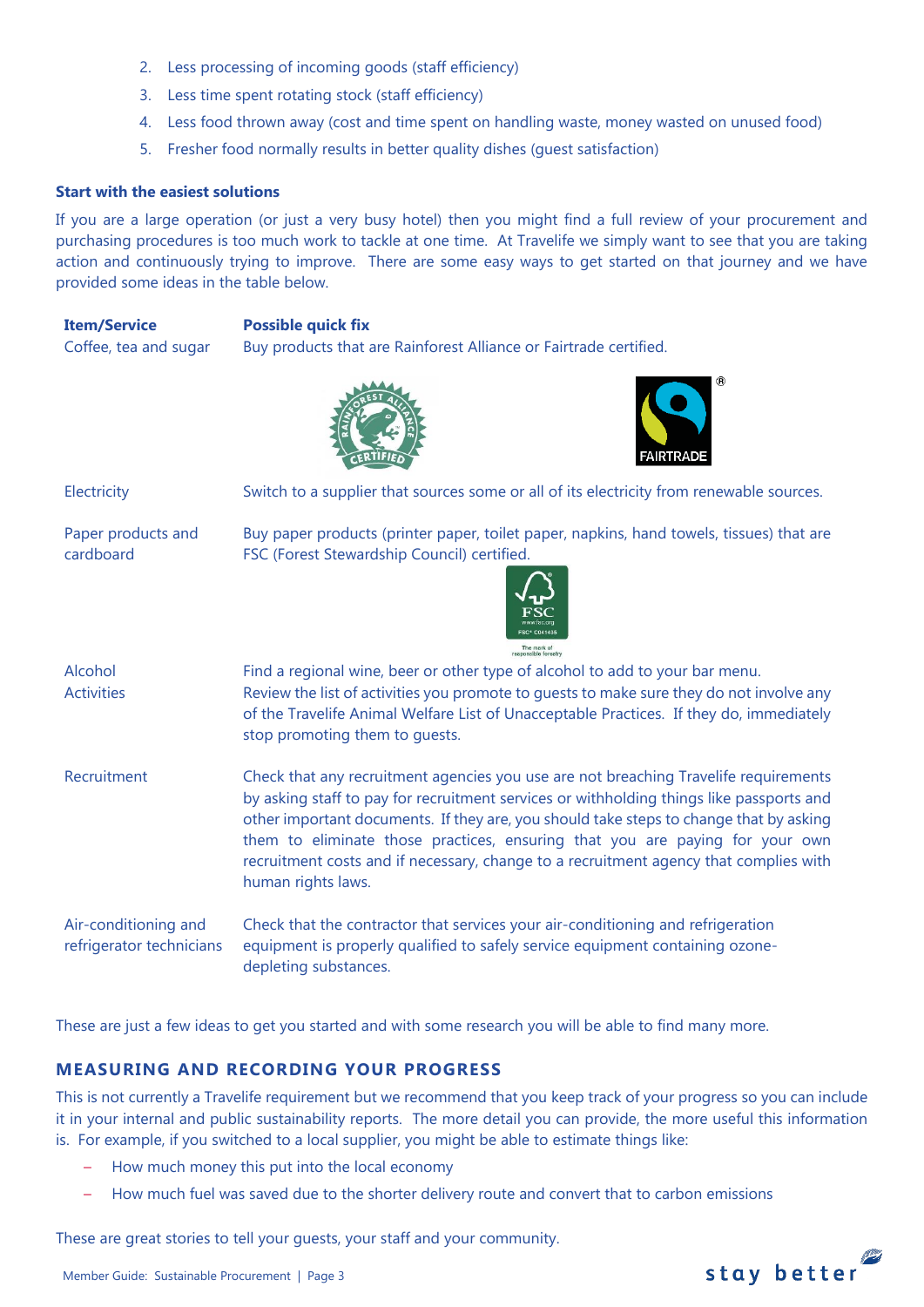- 2. Less processing of incoming goods (staff efficiency)
- 3. Less time spent rotating stock (staff efficiency)
- 4. Less food thrown away (cost and time spent on handling waste, money wasted on unused food)
- 5. Fresher food normally results in better quality dishes (guest satisfaction)

#### **Start with the easiest solutions**

If you are a large operation (or just a very busy hotel) then you might find a full review of your procurement and purchasing procedures is too much work to tackle at one time. At Travelife we simply want to see that you are taking action and continuously trying to improve. There are some easy ways to get started on that journey and we have provided some ideas in the table below.

**Item/Service Possible quick fix** Coffee, tea and sugar Buy products that are Rainforest Alliance or Fairtrade certified.





Electricity Switch to a supplier that sources some or all of its electricity from renewable sources. Paper products and cardboard Buy paper products (printer paper, toilet paper, napkins, hand towels, tissues) that are FSC (Forest Stewardship Council) certified. Alcohol Find a regional wine, beer or other type of alcohol to add to your bar menu. Activities Review the list of activities you promote to guests to make sure they do not involve any of the Travelife Animal Welfare List of Unacceptable Practices. If they do, immediately stop promoting them to guests. Recruitment Check that any recruitment agencies you use are not breaching Travelife requirements by asking staff to pay for recruitment services or withholding things like passports and other important documents. If they are, you should take steps to change that by asking them to eliminate those practices, ensuring that you are paying for your own recruitment costs and if necessary, change to a recruitment agency that complies with human rights laws. Air-conditioning and refrigerator technicians Check that the contractor that services your air-conditioning and refrigeration equipment is properly qualified to safely service equipment containing ozonedepleting substances.

These are just a few ideas to get you started and with some research you will be able to find many more.

# **MEASURING AND RECORDING YOUR PROGRESS**

This is not currently a Travelife requirement but we recommend that you keep track of your progress so you can include it in your internal and public sustainability reports. The more detail you can provide, the more useful this information is. For example, if you switched to a local supplier, you might be able to estimate things like:

- How much money this put into the local economy
- How much fuel was saved due to the shorter delivery route and convert that to carbon emissions

These are great stories to tell your guests, your staff and your community.

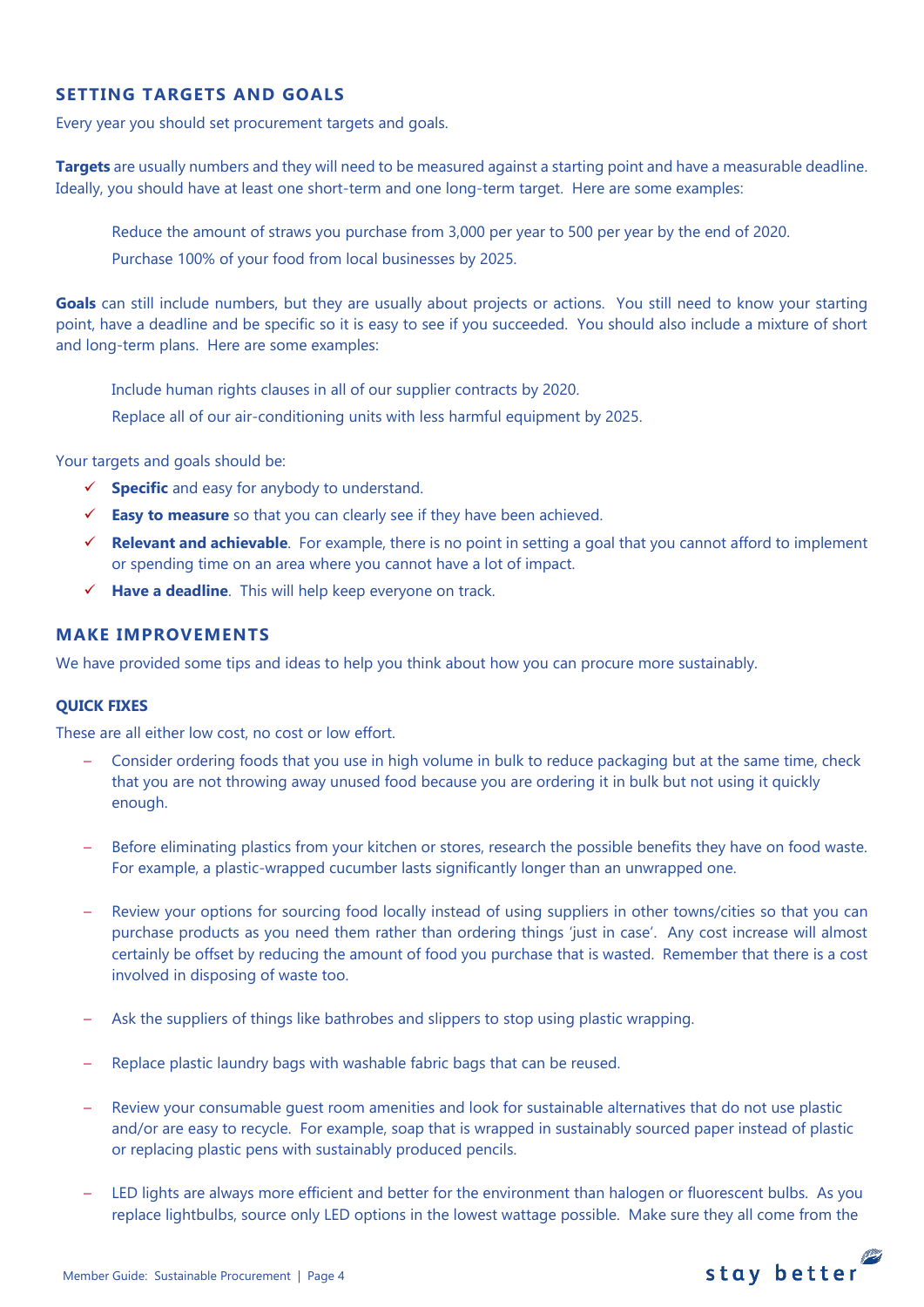# **SETTING TARGETS AND GOALS**

Every year you should set procurement targets and goals.

**Targets** are usually numbers and they will need to be measured against a starting point and have a measurable deadline. Ideally, you should have at least one short-term and one long-term target. Here are some examples:

Reduce the amount of straws you purchase from 3,000 per year to 500 per year by the end of 2020. Purchase 100% of your food from local businesses by 2025.

**Goals** can still include numbers, but they are usually about projects or actions. You still need to know your starting point, have a deadline and be specific so it is easy to see if you succeeded. You should also include a mixture of short and long-term plans. Here are some examples:

Include human rights clauses in all of our supplier contracts by 2020.

Replace all of our air-conditioning units with less harmful equipment by 2025.

Your targets and goals should be:

- **Specific** and easy for anybody to understand.
- **Easy to measure** so that you can clearly see if they have been achieved.
- **Relevant and achievable**. For example, there is no point in setting a goal that you cannot afford to implement or spending time on an area where you cannot have a lot of impact.
- **Have a deadline**. This will help keep everyone on track.

### **MAKE IMPROVEMENTS**

We have provided some tips and ideas to help you think about how you can procure more sustainably.

#### **QUICK FIXES**

These are all either low cost, no cost or low effort.

- Consider ordering foods that you use in high volume in bulk to reduce packaging but at the same time, check that you are not throwing away unused food because you are ordering it in bulk but not using it quickly enough.
- Before eliminating plastics from your kitchen or stores, research the possible benefits they have on food waste. For example, a plastic-wrapped cucumber lasts significantly longer than an unwrapped one.
- Review your options for sourcing food locally instead of using suppliers in other towns/cities so that you can purchase products as you need them rather than ordering things 'just in case'. Any cost increase will almost certainly be offset by reducing the amount of food you purchase that is wasted. Remember that there is a cost involved in disposing of waste too.
- Ask the suppliers of things like bathrobes and slippers to stop using plastic wrapping.
- Replace plastic laundry bags with washable fabric bags that can be reused.
- Review your consumable guest room amenities and look for sustainable alternatives that do not use plastic and/or are easy to recycle. For example, soap that is wrapped in sustainably sourced paper instead of plastic or replacing plastic pens with sustainably produced pencils.
- LED lights are always more efficient and better for the environment than halogen or fluorescent bulbs. As you replace lightbulbs, source only LED options in the lowest wattage possible. Make sure they all come from the

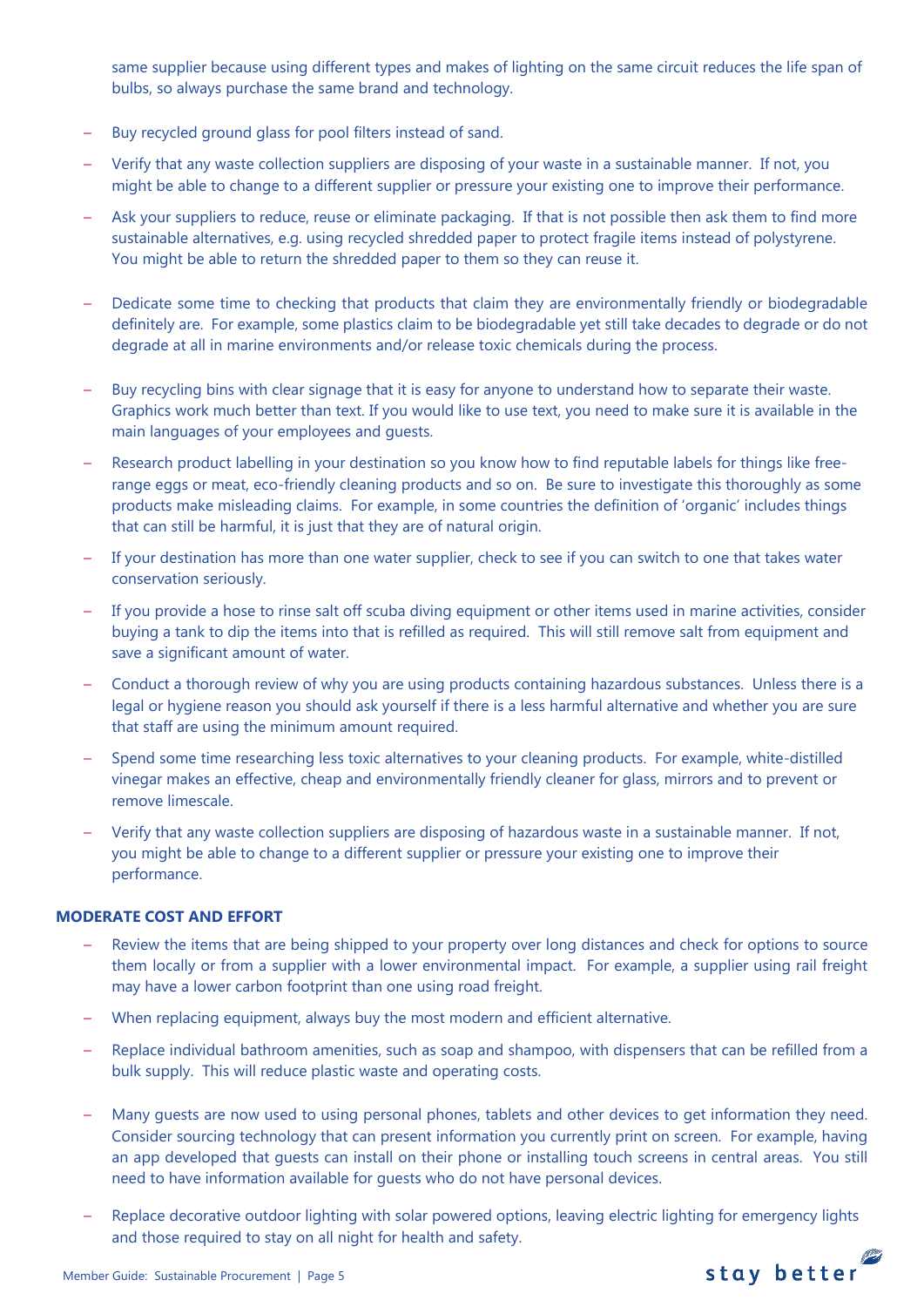same supplier because using different types and makes of lighting on the same circuit reduces the life span of bulbs, so always purchase the same brand and technology.

- Buy recycled ground glass for pool filters instead of sand.
- Verify that any waste collection suppliers are disposing of your waste in a sustainable manner. If not, you might be able to change to a different supplier or pressure your existing one to improve their performance.
- Ask your suppliers to reduce, reuse or eliminate packaging. If that is not possible then ask them to find more sustainable alternatives, e.g. using recycled shredded paper to protect fragile items instead of polystyrene. You might be able to return the shredded paper to them so they can reuse it.
- Dedicate some time to checking that products that claim they are environmentally friendly or biodegradable definitely are. For example, some plastics claim to be biodegradable yet still take decades to degrade or do not degrade at all in marine environments and/or release toxic chemicals during the process.
- Buy recycling bins with clear signage that it is easy for anyone to understand how to separate their waste. Graphics work much better than text. If you would like to use text, you need to make sure it is available in the main languages of your employees and guests.
- Research product labelling in your destination so you know how to find reputable labels for things like freerange eggs or meat, eco-friendly cleaning products and so on. Be sure to investigate this thoroughly as some products make misleading claims. For example, in some countries the definition of 'organic' includes things that can still be harmful, it is just that they are of natural origin.
- If your destination has more than one water supplier, check to see if you can switch to one that takes water conservation seriously.
- If you provide a hose to rinse salt off scuba diving equipment or other items used in marine activities, consider buying a tank to dip the items into that is refilled as required. This will still remove salt from equipment and save a significant amount of water.
- Conduct a thorough review of why you are using products containing hazardous substances. Unless there is a legal or hygiene reason you should ask yourself if there is a less harmful alternative and whether you are sure that staff are using the minimum amount required.
- Spend some time researching less toxic alternatives to your cleaning products. For example, white-distilled vinegar makes an effective, cheap and environmentally friendly cleaner for glass, mirrors and to prevent or remove limescale.
- Verify that any waste collection suppliers are disposing of hazardous waste in a sustainable manner. If not, you might be able to change to a different supplier or pressure your existing one to improve their performance.

## **MODERATE COST AND EFFORT**

- Review the items that are being shipped to your property over long distances and check for options to source them locally or from a supplier with a lower environmental impact. For example, a supplier using rail freight may have a lower carbon footprint than one using road freight.
- When replacing equipment, always buy the most modern and efficient alternative.
- Replace individual bathroom amenities, such as soap and shampoo, with dispensers that can be refilled from a bulk supply. This will reduce plastic waste and operating costs.
- Many guests are now used to using personal phones, tablets and other devices to get information they need. Consider sourcing technology that can present information you currently print on screen. For example, having an app developed that guests can install on their phone or installing touch screens in central areas. You still need to have information available for guests who do not have personal devices.
- Replace decorative outdoor lighting with solar powered options, leaving electric lighting for emergency lights and those required to stay on all night for health and safety.

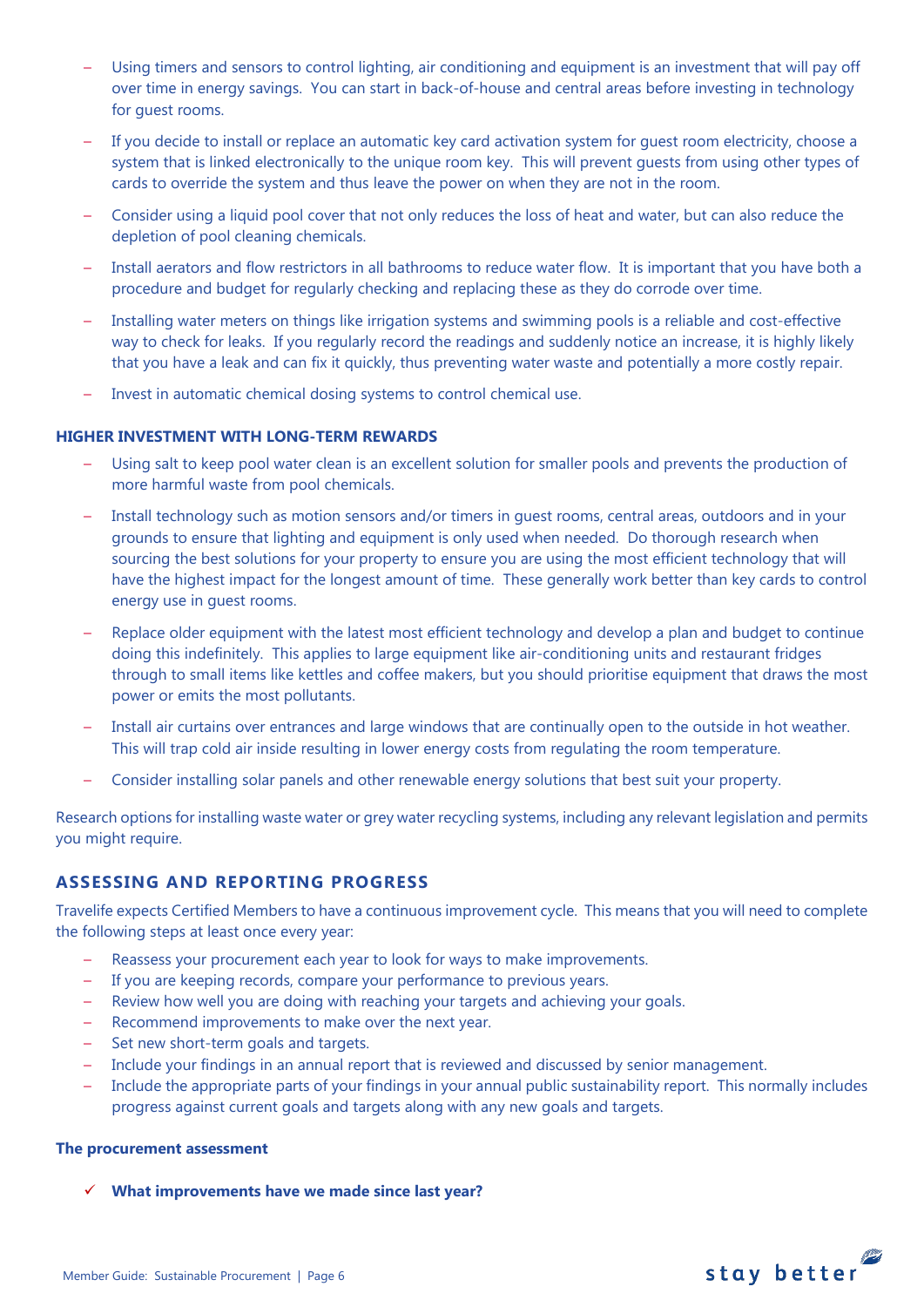- Using timers and sensors to control lighting, air conditioning and equipment is an investment that will pay off over time in energy savings. You can start in back-of-house and central areas before investing in technology for guest rooms.
- If you decide to install or replace an automatic key card activation system for guest room electricity, choose a system that is linked electronically to the unique room key. This will prevent guests from using other types of cards to override the system and thus leave the power on when they are not in the room.
- Consider using a liquid pool cover that not only reduces the loss of heat and water, but can also reduce the depletion of pool cleaning chemicals.
- Install aerators and flow restrictors in all bathrooms to reduce water flow. It is important that you have both a procedure and budget for regularly checking and replacing these as they do corrode over time.
- Installing water meters on things like irrigation systems and swimming pools is a reliable and cost-effective way to check for leaks. If you regularly record the readings and suddenly notice an increase, it is highly likely that you have a leak and can fix it quickly, thus preventing water waste and potentially a more costly repair.
- Invest in automatic chemical dosing systems to control chemical use.

## **HIGHER INVESTMENT WITH LONG-TERM REWARDS**

- Using salt to keep pool water clean is an excellent solution for smaller pools and prevents the production of more harmful waste from pool chemicals.
- Install technology such as motion sensors and/or timers in guest rooms, central areas, outdoors and in your grounds to ensure that lighting and equipment is only used when needed. Do thorough research when sourcing the best solutions for your property to ensure you are using the most efficient technology that will have the highest impact for the longest amount of time. These generally work better than key cards to control energy use in guest rooms.
- Replace older equipment with the latest most efficient technology and develop a plan and budget to continue doing this indefinitely. This applies to large equipment like air-conditioning units and restaurant fridges through to small items like kettles and coffee makers, but you should prioritise equipment that draws the most power or emits the most pollutants.
- Install air curtains over entrances and large windows that are continually open to the outside in hot weather. This will trap cold air inside resulting in lower energy costs from regulating the room temperature.
- Consider installing solar panels and other renewable energy solutions that best suit your property.

Research options for installing waste water or grey water recycling systems, including any relevant legislation and permits you might require.

# **ASSESSING AND REPORTING PROGRESS**

Travelife expects Certified Members to have a continuous improvement cycle. This means that you will need to complete the following steps at least once every year:

- Reassess your procurement each year to look for ways to make improvements.
- If you are keeping records, compare your performance to previous years.
- Review how well you are doing with reaching your targets and achieving your goals.
- Recommend improvements to make over the next year.
- Set new short-term goals and targets.
- Include your findings in an annual report that is reviewed and discussed by senior management.
- Include the appropriate parts of your findings in your annual public sustainability report. This normally includes progress against current goals and targets along with any new goals and targets.

#### **The procurement assessment**

**What improvements have we made since last year?**